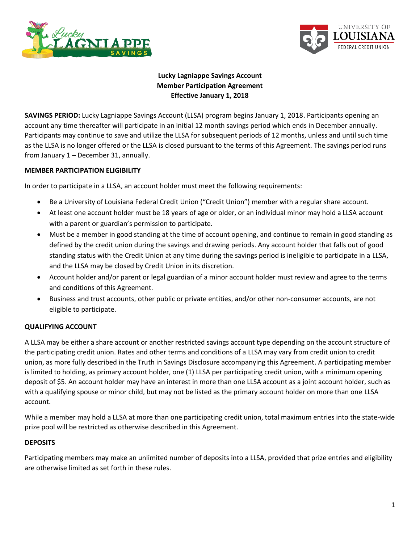



# **Lucky Lagniappe Savings Account Member Participation Agreement Effective January 1, 2018**

**SAVINGS PERIOD:** Lucky Lagniappe Savings Account (LLSA) program begins January 1, 2018. Participants opening an account any time thereafter will participate in an initial 12 month savings period which ends in December annually. Participants may continue to save and utilize the LLSA for subsequent periods of 12 months, unless and until such time as the LLSA is no longer offered or the LLSA is closed pursuant to the terms of this Agreement. The savings period runs from January 1 – December 31, annually.

### **MEMBER PARTICIPATION ELIGIBILITY**

In order to participate in a LLSA, an account holder must meet the following requirements:

- Be a University of Louisiana Federal Credit Union ("Credit Union") member with a regular share account.
- At least one account holder must be 18 years of age or older, or an individual minor may hold a LLSA account with a parent or guardian's permission to participate.
- Must be a member in good standing at the time of account opening, and continue to remain in good standing as defined by the credit union during the savings and drawing periods. Any account holder that falls out of good standing status with the Credit Union at any time during the savings period is ineligible to participate in a LLSA, and the LLSA may be closed by Credit Union in its discretion.
- Account holder and/or parent or legal guardian of a minor account holder must review and agree to the terms and conditions of this Agreement.
- Business and trust accounts, other public or private entities, and/or other non-consumer accounts, are not eligible to participate.

## **QUALIFYING ACCOUNT**

A LLSA may be either a share account or another restricted savings account type depending on the account structure of the participating credit union. Rates and other terms and conditions of a LLSA may vary from credit union to credit union, as more fully described in the Truth in Savings Disclosure accompanying this Agreement. A participating member is limited to holding, as primary account holder, one (1) LLSA per participating credit union, with a minimum opening deposit of \$5. An account holder may have an interest in more than one LLSA account as a joint account holder, such as with a qualifying spouse or minor child, but may not be listed as the primary account holder on more than one LLSA account.

While a member may hold a LLSA at more than one participating credit union, total maximum entries into the state-wide prize pool will be restricted as otherwise described in this Agreement.

#### **DEPOSITS**

Participating members may make an unlimited number of deposits into a LLSA, provided that prize entries and eligibility are otherwise limited as set forth in these rules.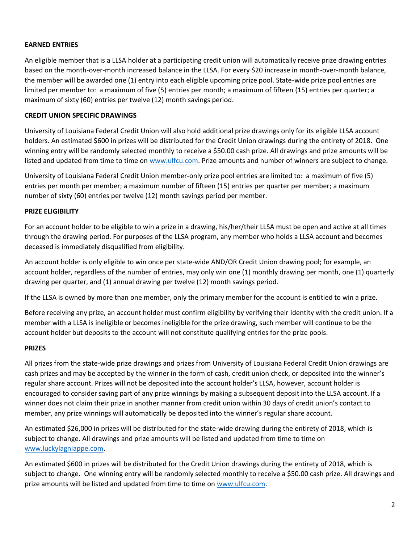### **EARNED ENTRIES**

An eligible member that is a LLSA holder at a participating credit union will automatically receive prize drawing entries based on the month-over-month increased balance in the LLSA. For every \$20 increase in month-over-month balance, the member will be awarded one (1) entry into each eligible upcoming prize pool. State-wide prize pool entries are limited per member to: a maximum of five (5) entries per month; a maximum of fifteen (15) entries per quarter; a maximum of sixty (60) entries per twelve (12) month savings period.

### **CREDIT UNION SPECIFIC DRAWINGS**

University of Louisiana Federal Credit Union will also hold additional prize drawings only for its eligible LLSA account holders. An estimated \$600 in prizes will be distributed for the Credit Union drawings during the entirety of 2018. One winning entry will be randomly selected monthly to receive a \$50.00 cash prize. All drawings and prize amounts will be listed and updated from time to time on [www.ulfcu.com.](http://www.ulfcu.com/) Prize amounts and number of winners are subject to change.

University of Louisiana Federal Credit Union member-only prize pool entries are limited to: a maximum of five (5) entries per month per member; a maximum number of fifteen (15) entries per quarter per member; a maximum number of sixty (60) entries per twelve (12) month savings period per member.

### **PRIZE ELIGIBILITY**

For an account holder to be eligible to win a prize in a drawing, his/her/their LLSA must be open and active at all times through the drawing period. For purposes of the LLSA program, any member who holds a LLSA account and becomes deceased is immediately disqualified from eligibility.

An account holder is only eligible to win once per state-wide AND/OR Credit Union drawing pool; for example, an account holder, regardless of the number of entries, may only win one (1) monthly drawing per month, one (1) quarterly drawing per quarter, and (1) annual drawing per twelve (12) month savings period.

If the LLSA is owned by more than one member, only the primary member for the account is entitled to win a prize.

Before receiving any prize, an account holder must confirm eligibility by verifying their identity with the credit union. If a member with a LLSA is ineligible or becomes ineligible for the prize drawing, such member will continue to be the account holder but deposits to the account will not constitute qualifying entries for the prize pools.

#### **PRIZES**

All prizes from the state-wide prize drawings and prizes from University of Louisiana Federal Credit Union drawings are cash prizes and may be accepted by the winner in the form of cash, credit union check, or deposited into the winner's regular share account. Prizes will not be deposited into the account holder's LLSA, however, account holder is encouraged to consider saving part of any prize winnings by making a subsequent deposit into the LLSA account. If a winner does not claim their prize in another manner from credit union within 30 days of credit union's contact to member, any prize winnings will automatically be deposited into the winner's regular share account.

An estimated \$26,000 in prizes will be distributed for the state-wide drawing during the entirety of 2018, which is subject to change. All drawings and prize amounts will be listed and updated from time to time on [www.luckylagniappe.com.](file:///C:/Users/amelle/Downloads/www.luckylagniappe.com)

An estimated \$600 in prizes will be distributed for the Credit Union drawings during the entirety of 2018, which is subject to change. One winning entry will be randomly selected monthly to receive a \$50.00 cash prize. All drawings and prize amounts will be listed and updated from time to time on [www.ulfcu.com.](http://www.ulfcu.com/)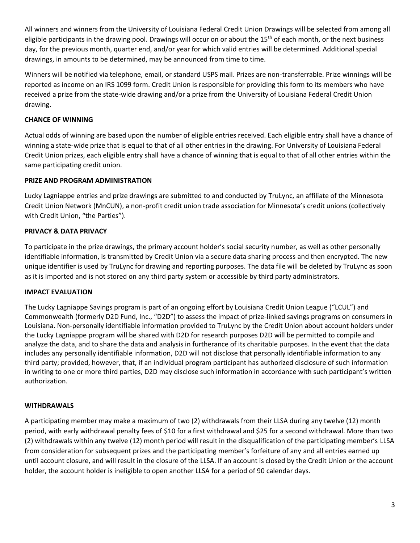All winners and winners from the University of Louisiana Federal Credit Union Drawings will be selected from among all eligible participants in the drawing pool. Drawings will occur on or about the  $15<sup>th</sup>$  of each month, or the next business day, for the previous month, quarter end, and/or year for which valid entries will be determined. Additional special drawings, in amounts to be determined, may be announced from time to time.

Winners will be notified via telephone, email, or standard USPS mail. Prizes are non-transferrable. Prize winnings will be reported as income on an IRS 1099 form. Credit Union is responsible for providing this form to its members who have received a prize from the state-wide drawing and/or a prize from the University of Louisiana Federal Credit Union drawing.

## **CHANCE OF WINNING**

Actual odds of winning are based upon the number of eligible entries received. Each eligible entry shall have a chance of winning a state-wide prize that is equal to that of all other entries in the drawing. For University of Louisiana Federal Credit Union prizes, each eligible entry shall have a chance of winning that is equal to that of all other entries within the same participating credit union.

## **PRIZE AND PROGRAM ADMINISTRATION**

Lucky Lagniappe entries and prize drawings are submitted to and conducted by TruLync, an affiliate of the Minnesota Credit Union Network (MnCUN), a non-profit credit union trade association for Minnesota's credit unions (collectively with Credit Union, "the Parties").

# **PRIVACY & DATA PRIVACY**

To participate in the prize drawings, the primary account holder's social security number, as well as other personally identifiable information, is transmitted by Credit Union via a secure data sharing process and then encrypted. The new unique identifier is used by TruLync for drawing and reporting purposes. The data file will be deleted by TruLync as soon as it is imported and is not stored on any third party system or accessible by third party administrators.

# **IMPACT EVALUATION**

The Lucky Lagniappe Savings program is part of an ongoing effort by Louisiana Credit Union League ("LCUL") and Commonwealth (formerly D2D Fund, Inc., "D2D") to assess the impact of prize-linked savings programs on consumers in Louisiana. Non-personally identifiable information provided to TruLync by the Credit Union about account holders under the Lucky Lagniappe program will be shared with D2D for research purposes D2D will be permitted to compile and analyze the data, and to share the data and analysis in furtherance of its charitable purposes. In the event that the data includes any personally identifiable information, D2D will not disclose that personally identifiable information to any third party; provided, however, that, if an individual program participant has authorized disclosure of such information in writing to one or more third parties, D2D may disclose such information in accordance with such participant's written authorization.

## **WITHDRAWALS**

A participating member may make a maximum of two (2) withdrawals from their LLSA during any twelve (12) month period, with early withdrawal penalty fees of \$10 for a first withdrawal and \$25 for a second withdrawal. More than two (2) withdrawals within any twelve (12) month period will result in the disqualification of the participating member's LLSA from consideration for subsequent prizes and the participating member's forfeiture of any and all entries earned up until account closure, and will result in the closure of the LLSA. If an account is closed by the Credit Union or the account holder, the account holder is ineligible to open another LLSA for a period of 90 calendar days.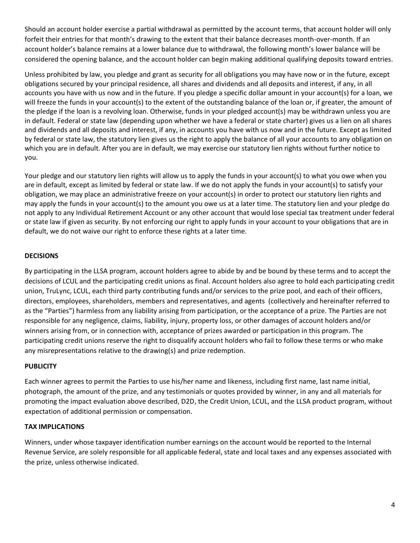Should an account holder exercise a partial withdrawal as permitted by the account terms, that account holder will only forfeit their entries for that month's drawing to the extent that their balance decreases month-over-month. If an account holder's balance remains at a lower balance due to withdrawal, the following month's lower balance will be considered the opening balance, and the account holder can begin making additional qualifying deposits toward entries.

Unless prohibited by law, you pledge and grant as security for all obligations you may have now or in the future, except obligations secured by your principal residence, all shares and dividends and all deposits and interest, if any, in all accounts you have with us now and in the future. If you pledge a specific dollar amount in your account(s) for a loan, we will freeze the funds in your account(s) to the extent of the outstanding balance of the loan or, if greater, the amount of the pledge if the loan is a revolving loan. Otherwise, funds in your pledged account(s) may be withdrawn unless you are in default. Federal or state law (depending upon whether we have a federal or state charter) gives us a lien on all shares and dividends and all deposits and interest, if any, in accounts you have with us now and in the future. Except as limited by federal or state law, the statutory lien gives us the right to apply the balance of all your accounts to any obligation on which you are in default. After you are in default, we may exercise our statutory lien rights without further notice to you.

Your pledge and our statutory lien rights will allow us to apply the funds in your account(s) to what you owe when you are in default, except as limited by federal or state law. If we do not apply the funds in your account(s) to satisfy your obligation, we may place an administrative freeze on your account(s) in order to protect our statutory lien rights and may apply the funds in your account(s) to the amount you owe us at a later time. The statutory lien and your pledge do not apply to any Individual Retirement Account or any other account that would lose special tax treatment under federal or state law if given as security. By not enforcing our right to apply funds in your account to your obligations that are in default, we do not waive our right to enforce these rights at a later time.

## **DECISIONS**

By participating in the LLSA program, account holders agree to abide by and be bound by these terms and to accept the decisions of LCUL and the participating credit unions as final. Account holders also agree to hold each participating credit union, TruLync, LCUL, each third party contributing funds and/or services to the prize pool, and each of their officers, directors, employees, shareholders, members and representatives, and agents (collectively and hereinafter referred to as the "Parties") harmless from any liability arising from participation, or the acceptance of a prize. The Parties are not responsible for any negligence, claims, liability, injury, property loss, or other damages of account holders and/or winners arising from, or in connection with, acceptance of prizes awarded or participation in this program. The participating credit unions reserve the right to disqualify account holders who fail to follow these terms or who make any misrepresentations relative to the drawing(s) and prize redemption.

## **PUBLICITY**

Each winner agrees to permit the Parties to use his/her name and likeness, including first name, last name initial, photograph, the amount of the prize, and any testimonials or quotes provided by winner, in any and all materials for promoting the impact evaluation above described, D2D, the Credit Union, LCUL, and the LLSA product program, without expectation of additional permission or compensation.

## **TAX IMPLICATIONS**

Winners, under whose taxpayer identification number earnings on the account would be reported to the Internal Revenue Service, are solely responsible for all applicable federal, state and local taxes and any expenses associated with the prize, unless otherwise indicated.